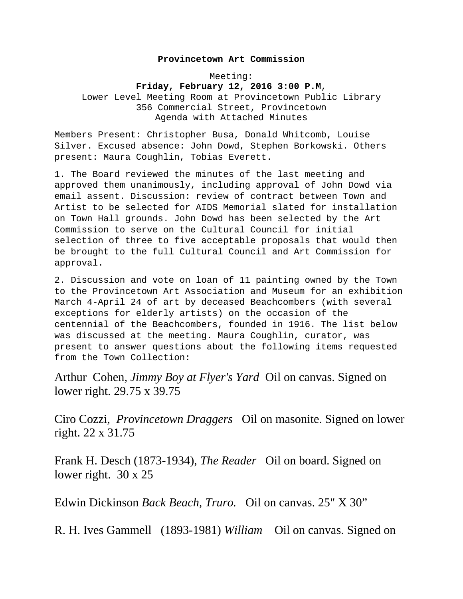## **Provincetown Art Commission**

Meeting: **Friday, February 12, 2016 3:00 P.M**, Lower Level Meeting Room at Provincetown Public Library 356 Commercial Street, Provincetown Agenda with Attached Minutes

Members Present: Christopher Busa, Donald Whitcomb, Louise Silver. Excused absence: John Dowd, Stephen Borkowski. Others present: Maura Coughlin, Tobias Everett.

1. The Board reviewed the minutes of the last meeting and approved them unanimously, including approval of John Dowd via email assent. Discussion: review of contract between Town and Artist to be selected for AIDS Memorial slated for installation on Town Hall grounds. John Dowd has been selected by the Art Commission to serve on the Cultural Council for initial selection of three to five acceptable proposals that would then be brought to the full Cultural Council and Art Commission for approval.

2. Discussion and vote on loan of 11 painting owned by the Town to the Provincetown Art Association and Museum for an exhibition March 4-April 24 of art by deceased Beachcombers (with several exceptions for elderly artists) on the occasion of the centennial of the Beachcombers, founded in 1916. The list below was discussed at the meeting. Maura Coughlin, curator, was present to answer questions about the following items requested from the Town Collection:

Arthur Cohen, *Jimmy Boy at Flyer's Yard* Oil on canvas. Signed on lower right. 29.75 x 39.75

Ciro Cozzi, *Provincetown Draggers* Oil on masonite. Signed on lower right. 22 x 31.75

Frank H. Desch (1873-1934), *The Reader* Oil on board. Signed on lower right. 30 x 25

Edwin Dickinson *Back Beach, Truro.* Oil on canvas. 25" X 30"

R. H. Ives Gammell (1893-1981) *William* Oil on canvas. Signed on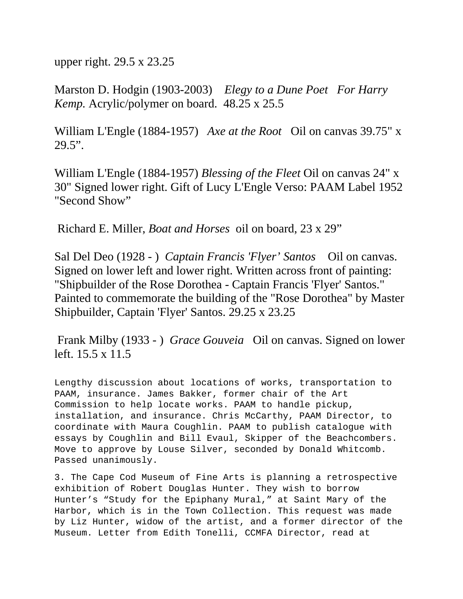upper right. 29.5 x 23.25

Marston D. Hodgin (1903-2003) *Elegy to a Dune Poet For Harry Kemp.* Acrylic/polymer on board. 48.25 x 25.5

William L'Engle (1884-1957) *Axe at the Root* Oil on canvas 39.75" x  $29.5$ ".

William L'Engle (1884-1957) *Blessing of the Fleet* Oil on canvas 24" x 30" Signed lower right. Gift of Lucy L'Engle Verso: PAAM Label 1952 "Second Show"

Richard E. Miller, *Boat and Horses* oil on board, 23 x 29"

Sal Del Deo (1928 - ) *Captain Francis 'Flyer' Santos* Oil on canvas. Signed on lower left and lower right. Written across front of painting: "Shipbuilder of the Rose Dorothea - Captain Francis 'Flyer' Santos." Painted to commemorate the building of the "Rose Dorothea" by Master Shipbuilder, Captain 'Flyer' Santos. 29.25 x 23.25

 Frank Milby (1933 - ) *Grace Gouveia* Oil on canvas. Signed on lower left. 15.5 x 11.5

Lengthy discussion about locations of works, transportation to PAAM, insurance. James Bakker, former chair of the Art Commission to help locate works. PAAM to handle pickup, installation, and insurance. Chris McCarthy, PAAM Director, to coordinate with Maura Coughlin. PAAM to publish catalogue with essays by Coughlin and Bill Evaul, Skipper of the Beachcombers. Move to approve by Louse Silver, seconded by Donald Whitcomb. Passed unanimously.

3. The Cape Cod Museum of Fine Arts is planning a retrospective exhibition of Robert Douglas Hunter. They wish to borrow Hunter's "Study for the Epiphany Mural," at Saint Mary of the Harbor, which is in the Town Collection. This request was made by Liz Hunter, widow of the artist, and a former director of the Museum. Letter from Edith Tonelli, CCMFA Director, read at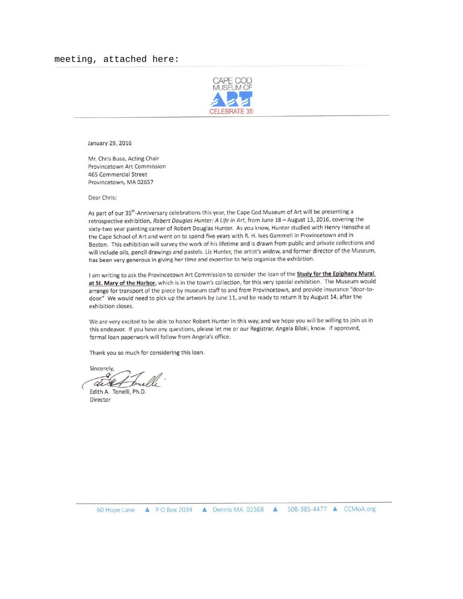

January 29, 2016

Mr. Chris Busa, Acting Chair Provincetown Art Commission 465 Commercial Street Provincetown, MA 02657

Dear Chris:

As part of our 35<sup>th</sup>-Anniversary celebrations this year, the Cape Cod Museum of Art will be presenting a retrospective exhibition, Robert Douglas Hunter: A Life in Art, from June 18 - August 13, 2016, covering the sixty-two year painting career of Robert Douglas Hunter. As you know, Hunter studied with Henry Hensche at the Cape School of Art and went on to spend five years with R. H. Ives Gammell in Provincetown and in Boston. This exhibition will survey the work of his lifetime and is drawn from public and private collections and will include oils, pencil drawings and pastels. Liz Hunter, the artist's widow, and former director of the Museum, has been very generous in giving her time and expertise to help organize the exhibition.

I am writing to ask the Provincetown Art Commission to consider the loan of the **Study for the Epiphany Mural** at St. Mary of the Harbor, which is in the town's collection, for this very special exhibition. The Museum would arrange for transport of the piece by museum staff to and from Provincetown, and provide insurance "door-todoor." We would need to pick up the artwork by June 11, and be ready to return it by August 14, after the exhibition closes.

We are very excited to be able to honor Robert Hunter in this way, and we hope you will be willing to join us in this endeavor. If you have any questions, please let me or our Registrar, Angela Bilski, know. If approved, formal loan paperwork will follow from Angela's office.

Thank you so much for considering this loan.

Sincerely, di X

Edith A. Tonelli, Ph.D. Director